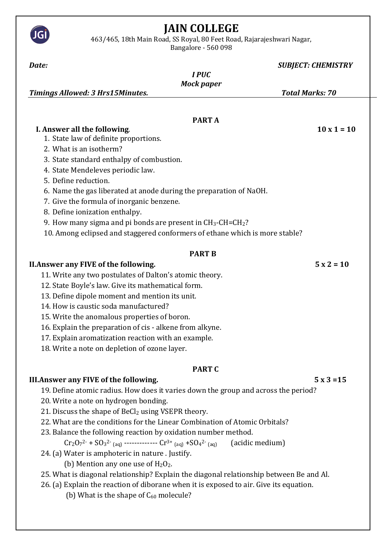## **JAIN COLLEGE**

463/465, 18th Main Road, SS Royal, 80 Feet Road, Rajarajeshwari Nagar,

JGİ

Bangalore - 560 098

| Date:                                                                                       |                   | <b>SUBJECT: CHEMISTRY</b> |  |
|---------------------------------------------------------------------------------------------|-------------------|---------------------------|--|
|                                                                                             | <b>IPUC</b>       |                           |  |
|                                                                                             | <b>Mock paper</b> |                           |  |
| <b>Timings Allowed: 3 Hrs15Minutes.</b>                                                     |                   | <b>Total Marks: 70</b>    |  |
|                                                                                             |                   |                           |  |
|                                                                                             | <b>PARTA</b>      |                           |  |
| I. Answer all the following.                                                                |                   | $10 \times 1 = 10$        |  |
| 1. State law of definite proportions.                                                       |                   |                           |  |
| 2. What is an isotherm?                                                                     |                   |                           |  |
| 3. State standard enthalpy of combustion.                                                   |                   |                           |  |
| 4. State Mendeleves periodic law.                                                           |                   |                           |  |
| 5. Define reduction.                                                                        |                   |                           |  |
| 6. Name the gas liberated at anode during the preparation of NaOH.                          |                   |                           |  |
| 7. Give the formula of inorganic benzene.                                                   |                   |                           |  |
| 8. Define ionization enthalpy.                                                              |                   |                           |  |
| 9. How many sigma and pi bonds are present in CH <sub>3</sub> -CH=CH <sub>2</sub> ?         |                   |                           |  |
| 10. Among eclipsed and staggered conformers of ethane which is more stable?                 |                   |                           |  |
|                                                                                             |                   |                           |  |
|                                                                                             | <b>PART B</b>     |                           |  |
| <b>II. Answer any FIVE of the following.</b>                                                |                   | $5x2 = 10$                |  |
| 11. Write any two postulates of Dalton's atomic theory.                                     |                   |                           |  |
| 12. State Boyle's law. Give its mathematical form.                                          |                   |                           |  |
| 13. Define dipole moment and mention its unit.                                              |                   |                           |  |
| 14. How is caustic soda manufactured?                                                       |                   |                           |  |
| 15. Write the anomalous properties of boron.                                                |                   |                           |  |
| 16. Explain the preparation of cis - alkene from alkyne.                                    |                   |                           |  |
| 17. Explain aromatization reaction with an example.                                         |                   |                           |  |
| 18. Write a note on depletion of ozone layer.                                               |                   |                           |  |
|                                                                                             |                   |                           |  |
|                                                                                             | <b>PART C</b>     |                           |  |
| III. Answer any FIVE of the following.                                                      |                   | $5x3=15$                  |  |
| 19. Define atomic radius. How does it varies down the group and across the period?          |                   |                           |  |
| 20. Write a note on hydrogen bonding.                                                       |                   |                           |  |
| 21. Discuss the shape of BeCl2 using VSEPR theory.                                          |                   |                           |  |
| 22. What are the conditions for the Linear Combination of Atomic Orbitals?                  |                   |                           |  |
| 23. Balance the following reaction by oxidation number method.                              |                   |                           |  |
| $Cr_2O_7^2$ + $SO_3^2$ (aq) ------------- $Cr^{3+}$ (aq) + $SO_4^2$ (aq)<br>(acidic medium) |                   |                           |  |
| 24. (a) Water is amphoteric in nature . Justify.                                            |                   |                           |  |
| (b) Mention any one use of $H_2O_2$ .                                                       |                   |                           |  |
| 25. What is diagonal relationship? Explain the diagonal relationship between Be and Al.     |                   |                           |  |
| 26. (a) Explain the reaction of diborane when it is exposed to air. Give its equation.      |                   |                           |  |
| (b) What is the shape of $C_{60}$ molecule?                                                 |                   |                           |  |